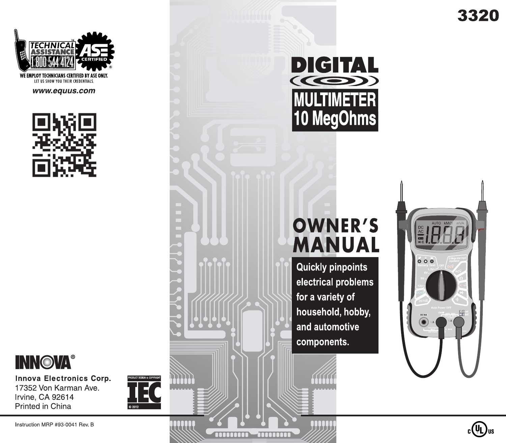3320



# **OWNER'S MANUAL**

**Quickly pinpoints** electrical problems for a variety of household, hobby, and automotive components.



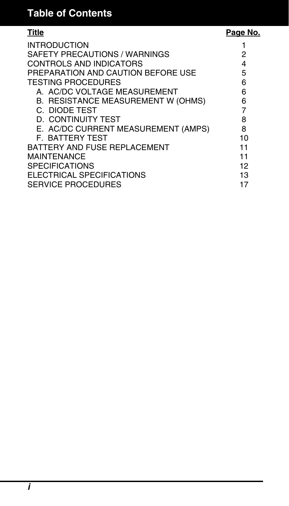# **Table of Contents**

# Title **Page No.**

| <b>INTRODUCTION</b><br>SAFETY PRECAUTIONS / WARNINGS |        |
|------------------------------------------------------|--------|
| CONTROLS AND INDICATORS                              | 2<br>4 |
|                                                      |        |
| PREPARATION AND CAUTION BEFORE USE                   | 5      |
| <b>TESTING PROCEDURES</b>                            | 6      |
| A. AC/DC VOLTAGE MEASUREMENT                         | 6      |
| B. RESISTANCE MEASUREMENT W (OHMS)                   | 6      |
| C. DIODE TEST                                        | 7      |
| D. CONTINUITY TEST                                   | 8      |
| E. AC/DC CURRENT MEASUREMENT (AMPS)                  | 8      |
| <b>F. BATTERY TEST</b>                               | 10     |
| BATTERY AND FUSE REPLACEMENT                         | 11     |
| <b>MAINTFNANCF</b>                                   | 11     |
| <b>SPECIFICATIONS</b>                                | 12     |
| ELECTRICAL SPECIFICATIONS                            | 13     |
| <b>SERVICE PROCEDURES</b>                            | 17     |
|                                                      |        |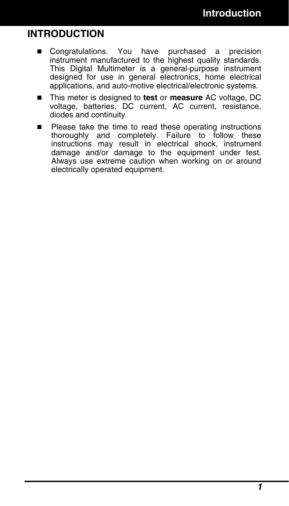# **INTRODUCTION**

- Congratulations. You have purchased a precision instrument manufactured to the highest quality standards. This Digital Multimeter is a general-purpose instrument designed for use in general electronics, home electrical applications, and auto-motive electrical/electronic systems.
- This meter is designed to **test** or **measure** AC voltage, DC voltage, batteries, DC current, AC current, resistance, diodes and continuity.
- Please take the time to read these operating instructions thoroughly and completely. Failure to follow these instructions may result in electrical shock, instrument damage and/or damage to the equipment under test. Always use extreme caution when working on or around electrically operated equipment.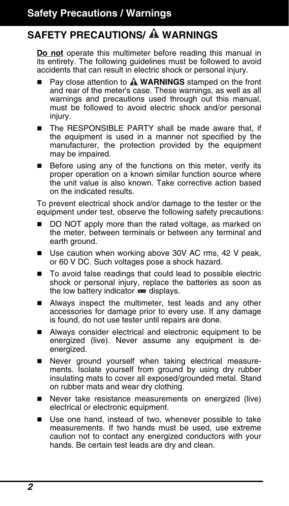# **SAFETY PRECAUTIONS/ WARNINGS**

**Do not** operate this multimeter before reading this manual in its entirety. The following guidelines must be followed to avoid accidents that can result in electric shock or personal injury.

- Pay close attention to **A WARNINGS** stamped on the front and rear of the meter's case. These warnings, as well as all warnings and precautions used through out this manual, must be followed to avoid electric shock and/or personal injury.
- The RESPONSIBLE PARTY shall be made aware that, if the equipment is used in a manner not specified by the manufacturer, the protection provided by the equipment may be impaired.
- $\blacksquare$  Before using any of the functions on this meter, verify its proper operation on a known similar function source where the unit value is also known. Take corrective action based on the indicated results.

To prevent electrical shock and/or damage to the tester or the equipment under test, observe the following safety precautions:

- DO NOT apply more than the rated voltage, as marked on the meter, between terminals or between any terminal and earth ground.
- Use caution when working above 30V AC rms, 42 V peak, or 60 V DC. Such voltages pose a shock hazard.
- To avoid false readings that could lead to possible electric shock or personal injury, replace the batteries as soon as the low battery indicator **and displays.**
- Always inspect the multimeter, test leads and any other accessories for damage prior to every use. If any damage is found, do not use tester until repairs are done.
- Always consider electrical and electronic equipment to be energized (live). Never assume any equipment is deenergized.
- Never ground yourself when taking electrical measurements. Isolate yourself from ground by using dry rubber insulating mats to cover all exposed/grounded metal. Stand on rubber mats and wear dry clothing.
- Never take resistance measurements on energized (live) electrical or electronic equipment.
- Use one hand, instead of two, whenever possible to take measurements. If two hands must be used, use extreme caution not to contact any energized conductors with your hands. Be certain test leads are dry and clean.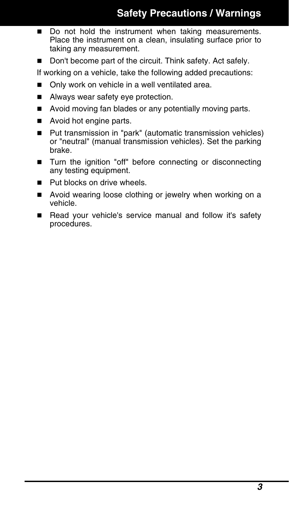- Do not hold the instrument when taking measurements. Place the instrument on a clean, insulating surface prior to taking any measurement.
- Don't become part of the circuit. Think safety. Act safely.

If working on a vehicle, take the following added precautions:

- Only work on vehicle in a well ventilated area.
- Always wear safety eye protection.
- Avoid moving fan blades or any potentially moving parts.
- Avoid hot engine parts.
- Put transmission in "park" (automatic transmission vehicles) or "neutral" (manual transmission vehicles). Set the parking brake.
- Turn the ignition "off" before connecting or disconnecting any testing equipment.
- **Put blocks on drive wheels.**
- Avoid wearing loose clothing or jewelry when working on a vehicle.
- Read your vehicle's service manual and follow it's safety procedures.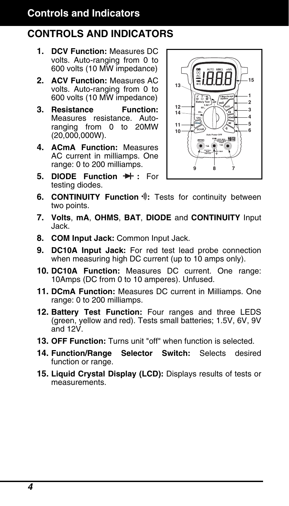# **Controls and Indicators**

# **CONTROLS AND INDICATORS**

- **1. DCV Function:** Measures DC volts. Auto-ranging from 0 to 600 volts (10 MW impedance)
- **2. ACV Function:** Measures AC volts. Auto-ranging from 0 to 600 volts (10 MW impedance)
- **3. Resistance Function:** Measures resistance. Autoranging from 0 to 20MW (20,000,000W).
- **4. ACmA Function:** Measures AC current in milliamps. One range: 0 to 200 milliamps.
- **5. DIODE Function**  $\rightarrow$  **:** For testing diodes.



- **6. CONTINUITY Function**  $\sqrt[3]{\cdot}$ **:** Tests for continuity between two points.
- **7. Volts**, **mA**, **OHMS**, **BAT**, **DIODE** and **CONTINUITY** Input Jack.
- **8. COM Input Jack:** Common Input Jack.
- **9. DC10A Input Jack:** For red test lead probe connection when measuring high DC current (up to 10 amps only).
- **10. DC10A Function:** Measures DC current. One range: 10Amps (DC from 0 to 10 amperes). Unfused.
- **11. DCmA Function:** Measures DC current in Milliamps. One range: 0 to 200 milliamps.
- **12. Battery Test Function:** Four ranges and three LEDS (green, yellow and red). Tests small batteries; 1.5V, 6V, 9V and 12V.
- **13. OFF Function:** Turns unit "off" when function is selected.
- **14. Function/Range Selector Switch:** Selects desired function or range.
- **15. Liquid Crystal Display (LCD):** Displays results of tests or measurements.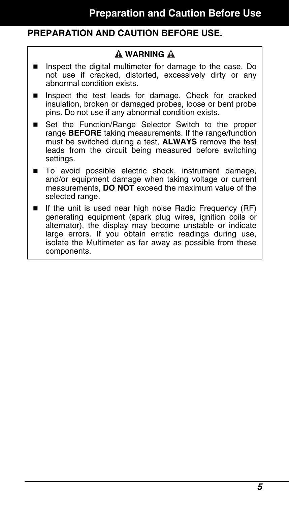# **PREPARATION AND CAUTION BEFORE USE.**

### **WARNING**

- Inspect the digital multimeter for damage to the case. Do not use if cracked, distorted, excessively dirty or any abnormal condition exists.
- **Inspect the test leads for damage. Check for cracked** insulation, broken or damaged probes, loose or bent probe pins. Do not use if any abnormal condition exists.
- Set the Function/Range Selector Switch to the proper range **BEFORE** taking measurements. If the range/function must be switched during a test, **ALWAYS** remove the test leads from the circuit being measured before switching settings.
- To avoid possible electric shock, instrument damage, and/or equipment damage when taking voltage or current measurements, **DO NOT** exceed the maximum value of the selected range.
- If the unit is used near high noise Radio Frequency (RF) generating equipment (spark plug wires, ignition coils or alternator), the display may become unstable or indicate large errors. If you obtain erratic readings during use, isolate the Multimeter as far away as possible from these components.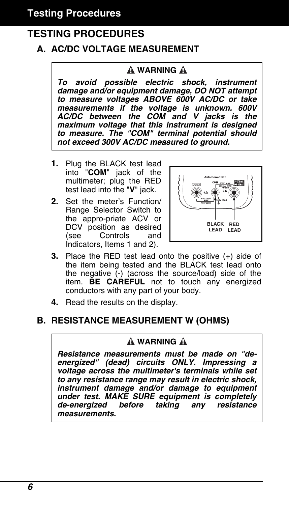# **TESTING PROCEDURES**

# **A. AC/DC VOLTAGE MEASUREMENT**

### **A WARNING A**

*To avoid possible electric shock, instrument damage and/or equipment damage, DO NOT attempt to measure voltages ABOVE 600V AC/DC or take measurements if the voltage is unknown. 600V AC/DC between the COM and V jacks is the maximum voltage that this instrument is designed to measure. The "COM" terminal potential should not exceed 300V AC/DC measured to ground.* 

- **1.** Plug the BLACK test lead into "**COM**" jack of the multimeter; plug the RED test lead into the "**V**" jack.
- **2.** Set the meter's Function/ Range Selector Switch to the appro-priate ACV or DCV position as desired (see Controls and Indicators, Items 1 and 2).



- **3.** Place the RED test lead onto the positive (+) side of the item being tested and the BLACK test lead onto the negative  $\overline{(-)}$  (across the source/load) side of the item. **BE CAREFUL** not to touch any energized conductors with any part of your body.
- **4.** Read the results on the display.

### **B. RESISTANCE MEASUREMENT W (OHMS)**

#### **A** WARNING **A**

*Resistance measurements must be made on "deenergized" (dead) circuits ONLY. Impressing a voltage across the multimeter's terminals while set to any resistance range may result in electric shock, instrument damage and/or damage to equipment under test. MAKE SURE equipment is completely de-energized before taking any resistance measurements.*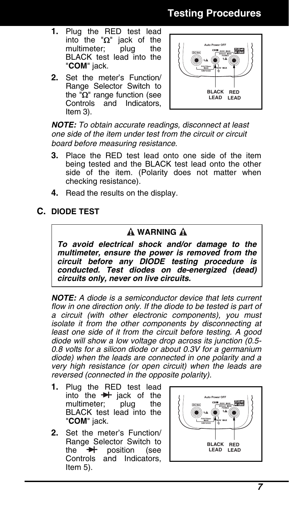# **Testing Procedures**

- **1.** Plug the RED test lead into the " $Ω$ " jack of the multimeter; plug the multimeter; plug the BLACK test lead into the "**COM**" jack.
- **2.** Set the meter's Function/ Range Selector Switch to the " $Ω$ " range function (see Controls and Indicators, Item 3).



*NOTE: To obtain accurate readings, disconnect at least one side of the item under test from the circuit or circuit board before measuring resistance.* 

- **3.** Place the RED test lead onto one side of the item being tested and the BLACK test lead onto the other side of the item. (Polarity does not matter when checking resistance).
- **4.** Read the results on the display.

**C. DIODE TEST**

### **A WARNING A**

*To avoid electrical shock and/or damage to the multimeter, ensure the power is removed from the circuit before any DIODE testing procedure is conducted. Test diodes on de-energized (dead) circuits only, never on live circuits.* 

*NOTE: A diode is a semiconductor device that lets current*  flow in one direction only. If the diode to be tested is part of *a circuit (with other electronic components), you must isolate it from the other components by disconnecting at least one side of it from the circuit before testing. A good diode will show a low voltage drop across its junction (0.5- 0.8 volts for a silicon diode or about 0.3V for a germanium diode) when the leads are connected in one polarity and a very high resistance (or open circuit) when the leads are reversed (connected in the opposite polarity).* 

- **1.** Plug the RED test lead into the  $\rightarrow$  jack of the multimeter; plug the multimeter; BLACK test lead into the "**COM**" jack.
- **2.** Set the meter's Function/ Range Selector Switch to the  $\rightarrow \rightarrow$  position (see Controls and Indicators, Item 5).



 *7*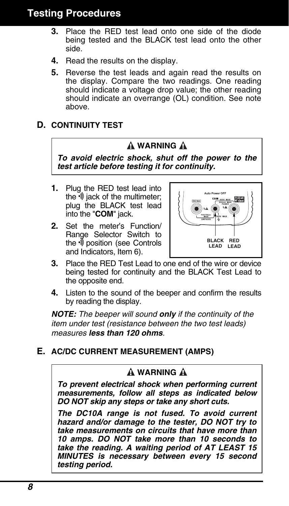# **Testing Procedures**

- **3.** Place the RED test lead onto one side of the diode being tested and the BLACK test lead onto the other side.
- **4.** Read the results on the display.
- **5.** Reverse the test leads and again read the results on the display. Compare the two readings. One reading should indicate a voltage drop value; the other reading should indicate an overrange (OL) condition. See note above.

### **D. CONTINUITY TEST**

# **A WARNING A**

*To avoid electric shock, shut off the power to the test article before testing it for continuity.* 

- **1.** Plug the RED test lead into the  $\ddot{\mathbf{v}}$  iack of the multimeter; plug the BLACK test lead into the "**COM**" jack.
- **2.** Set the meter's Function/ Range Selector Switch to the  $\sqrt[6]{}$  position (see Controls and Indicators, Item 6).



- **3.** Place the RED Test Lead to one end of the wire or device being tested for continuity and the BLACK Test Lead to the opposite end.
- **4.** Listen to the sound of the beeper and confirm the results by reading the display.

*NOTE: The beeper will sound only if the continuity of the item under test (resistance between the two test leads) measures less than 120 ohms.* 

### **E. AC/DC CURRENT MEASUREMENT (AMPS)**

# **A WARNING A**

*To prevent electrical shock when performing current measurements, follow all steps as indicated below DO NOT skip any steps or take any short cuts.* 

*The DC10A range is not fused. To avoid current hazard and/or damage to the tester, DO NOT try to take measurements on circuits that have more than 10 amps. DO NOT take more than 10 seconds to take the reading. A waiting period of AT LEAST 15 MINUTES is necessary between every 15 second testing period.*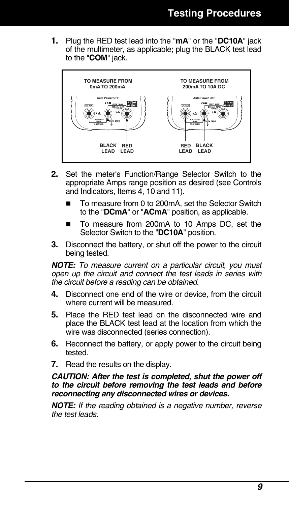**1.** Plug the RED test lead into the "**mA**" or the "**DC10A**" jack of the multimeter, as applicable; plug the BLACK test lead to the "**COM**" jack.



- **2.** Set the meter's Function/Range Selector Switch to the appropriate Amps range position as desired (see Controls and Indicators, Items 4, 10 and 11).
	- To measure from 0 to 200mA, set the Selector Switch to the "**DCmA**" or "**ACmA**" position, as applicable.
	- To measure from 200mA to 10 Amps DC, set the Selector Switch to the "**DC10A**" position.
- **3.** Disconnect the battery, or shut off the power to the circuit being tested.

*NOTE: To measure current on a particular circuit, you must open up the circuit and connect the test leads in series with the circuit before a reading can be obtained.* 

- **4.** Disconnect one end of the wire or device, from the circuit where current will be measured.
- **5.** Place the RED test lead on the disconnected wire and place the BLACK test lead at the location from which the wire was disconnected (series connection).
- **6.** Reconnect the battery, or apply power to the circuit being tested.
- **7.** Read the results on the display.

#### *CAUTION: After the test is completed, shut the power off to the circuit before removing the test leads and before reconnecting any disconnected wires or devices.*

*NOTE: If the reading obtained is a negative number, reverse the test leads.*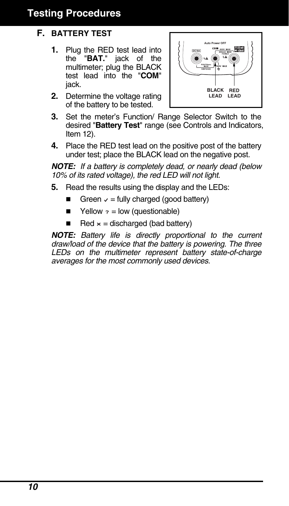# **Testing Procedures**

# **F. BATTERY TEST**

- **1.** Plug the RED test lead into the "**BAT.**" jack of the multimeter; plug the BLACK test lead into the "**COM**" jack.
- **2.** Determine the voltage rating of the battery to be tested.



- **3.** Set the meter's Function/ Range Selector Switch to the desired "**Battery Test**" range (see Controls and Indicators, Item 12).
- **4.** Place the RED test lead on the positive post of the battery under test; place the BLACK lead on the negative post.

*NOTE: If a battery is completely dead, or nearly dead (below 10% of its rated voltage), the red LED will not light.* 

- **5.** Read the results using the display and the LEDs:
	- Green  $\sqrt{ }$  = fully charged (good battery)
	- $\blacksquare$  Yellow  $\cdot$  = low (questionable)
	- Red  $\times$  = discharged (bad battery)

*NOTE: Battery life is directly proportional to the current draw/load of the device that the battery is powering. The three LEDs on the multimeter represent battery state-of-charge averages for the most commonly used devices.*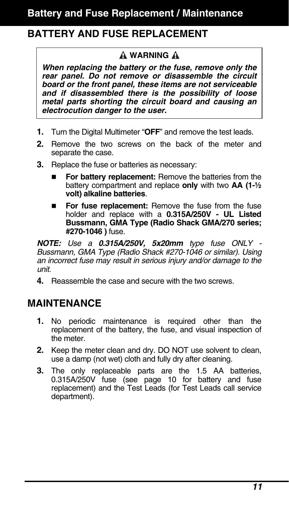# **BATTERY AND FUSE REPLACEMENT**

### **WARNING**

*When replacing the battery or the fuse, remove only the rear panel. Do not remove or disassemble the circuit board or the front panel, these items are not serviceable and if disassembled there is the possibility of loose metal parts shorting the circuit board and causing an electrocution danger to the user.* 

- **1.** Turn the Digital Multimeter "**OFF**" and remove the test leads.
- **2.** Remove the two screws on the back of the meter and separate the case.
- **3.** Replace the fuse or batteries as necessary:
	- **For battery replacement:** Remove the batteries from the battery compartment and replace **only** with two **AA (1-½ volt) alkaline batteries**.
	- **For fuse replacement:** Remove the fuse from the fuse holder and replace with a **0.315A/250V - UL Listed Bussmann, GMA Type (Radio Shack GMA/270 series; #270-1046 )** fuse.

*NOTE: Use a 0.315A/250V, 5x20mm type fuse ONLY - Bussmann, GMA Type (Radio Shack #270-1046 or similar). Using an incorrect fuse may result in serious injury and/or damage to the unit.* 

**4.** Reassemble the case and secure with the two screws.

# **MAINTENANCE**

- **1.** No periodic maintenance is required other than the replacement of the battery, the fuse, and visual inspection of the meter.
- **2.** Keep the meter clean and dry. DO NOT use solvent to clean, use a damp (not wet) cloth and fully dry after cleaning.
- **3.** The only replaceable parts are the 1.5 AA batteries, 0.315A/250V fuse (see page 10 for battery and fuse replacement) and the Test Leads (for Test Leads call service department).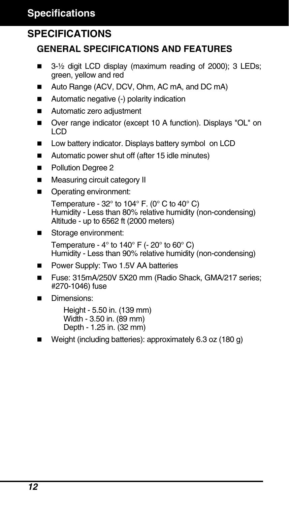# **SPECIFICATIONS**

# **GENERAL SPECIFICATIONS AND FEATURES**

- $\blacksquare$  3-1/<sub>2</sub> digit LCD display (maximum reading of 2000); 3 LEDs; green, yellow and red
- Auto Range (ACV, DCV, Ohm, AC mA, and DC mA)
- Automatic negative (-) polarity indication
- Automatic zero adiustment
- Over range indicator (except 10 A function). Displays "OL" on LCD
- Low battery indicator. Displays battery symbol on LCD
- Automatic power shut off (after 15 idle minutes)
- **Pollution Degree 2**
- **Measuring circuit category II**
- Operating environment:

Temperature -  $32^\circ$  to  $104^\circ$  F. (0 $^\circ$  C to  $40^\circ$  C) Humidity - Less than 80% relative humidity (non-condensing) Altitude - up to 6562 ft (2000 meters)

Storage environment:

Temperature -  $4^{\circ}$  to  $140^{\circ}$  F (-  $20^{\circ}$  to  $60^{\circ}$  C) Humidity - Less than 90% relative humidity (non-condensing)

- Power Supply: Two 1.5V AA batteries
- Fuse: 315mA/250V 5X20 mm (Radio Shack, GMA/217 series: #270-1046) fuse
- Dimensions:

 Height - 5.50 in. (139 mm) Width - 3.50 in. (89 mm) Depth - 1.25 in. (32 mm)

Weight (including batteries): approximately 6.3 oz (180 g)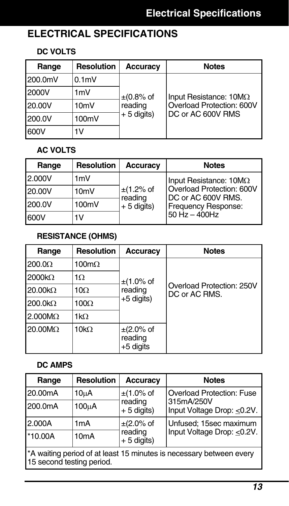# **ELECTRICAL SPECIFICATIONS**

### **DC VOLTS**

| Range   | Resolution        | Accuracy                                  | <b>Notes</b>                                                                    |
|---------|-------------------|-------------------------------------------|---------------------------------------------------------------------------------|
| 200.0mV | 0.1 <sub>m</sub>  |                                           |                                                                                 |
| 2000V   | 1mV               | $\pm$ (0.8% of<br>reading<br>$+5$ digits) | Input Resistance: $10M\Omega$<br>Overload Protection: 600V<br>DC or AC 600V RMS |
| 20.00V  | 10 <sub>m</sub> V |                                           |                                                                                 |
| 200.0V  | 100mV             |                                           |                                                                                 |
| 600V    | 1V                |                                           |                                                                                 |

# **AC VOLTS**

| Range  | <b>Resolution</b> | <b>Accuracy</b>                           | <b>Notes</b>                                    |
|--------|-------------------|-------------------------------------------|-------------------------------------------------|
| 2.000V | 1mV               |                                           | Input Resistance: $10M\Omega$                   |
| 20.00V | 10mV              | $\pm$ (1.2% of<br>reading<br>$+5$ digits) | Overload Protection: 600V<br>DC or AC 600V RMS. |
| 200.0V | 100mV             |                                           |                                                 |
| 600V   | 1V                |                                           | $50$ Hz $-$ 400Hz                               |

# **RESISTANCE (OHMS)**

| Range                  | <b>Resolution</b> | Accuracy                                 | <b>Notes</b>                               |
|------------------------|-------------------|------------------------------------------|--------------------------------------------|
| $200.0\Omega$          | 100m $\Omega$     |                                          |                                            |
| $2000k\Omega$          | 1Ω                | $\pm$ (1.0% of                           |                                            |
| $20.00k\Omega$         | $10\Omega$        | reading                                  | Overload Protection: 250V<br>DC or AC RMS. |
| $200.0 k\Omega$        | $100\Omega$       | $+5$ digits)                             |                                            |
| $2.000M\Omega$         | $1k\Omega$        |                                          |                                            |
| $20.00 \text{M}\Omega$ | 10k $\Omega$      | $\pm$ (2.0% of<br>reading<br>$+5$ digits |                                            |

# **DC AMPS**

| Range                                                                                            | <b>Resolution</b> | <b>Accuracy</b>         | <b>Notes</b>                                                                 |
|--------------------------------------------------------------------------------------------------|-------------------|-------------------------|------------------------------------------------------------------------------|
| 20.00mA                                                                                          | 10 <sub>µ</sub> A | $\pm$ (1.0% of          | <b>Overload Protection: Fuse</b><br>315mA/250V<br>Input Voltage Drop: <0.2V. |
| 200.0mA                                                                                          | 100uA             | reading<br>$+5$ digits) |                                                                              |
| 2.000A                                                                                           | 1 <sub>m</sub> A  | $\pm$ (2.0% of          | Unfused; 15sec maximum<br>Input Voltage Drop: <0.2V.                         |
| $*10.00A$                                                                                        | 10 <sub>m</sub> A | reading<br>$+5$ digits) |                                                                              |
| *A waiting period of at least 15 minutes is necessary between every<br>15 second testing period. |                   |                         |                                                                              |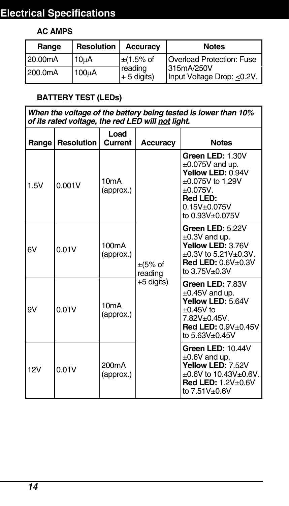# **Electrical Specifications**

# **AC AMPS**

| Range   | <b>Resolution</b>  | <b>Accuracy</b> | <b>Notes</b>              |                                           |
|---------|--------------------|-----------------|---------------------------|-------------------------------------------|
| 20.00mA | 10uA               | $\pm$ (1.5% of  | Overload Protection: Fuse |                                           |
| 200.0mA | 100 <sub>u</sub> A | reading         | $+ 5$ digits)             | 315mA/250V<br>Input Voltage Drop: < 0.2V. |

# **BATTERY TEST (LEDs)**

| When the voltage of the battery being tested is lower than 10%<br>of its rated voltage, the red LED will not light. |                   |                                 |                                       |                                                                                                                                                               |
|---------------------------------------------------------------------------------------------------------------------|-------------------|---------------------------------|---------------------------------------|---------------------------------------------------------------------------------------------------------------------------------------------------------------|
| Range                                                                                                               | <b>Resolution</b> | Load<br>Current                 | Accuracy                              | <b>Notes</b>                                                                                                                                                  |
| 1.5V                                                                                                                | 0.001V            | 10mA<br>(approx.)               | $\pm$ (5% of<br>reading<br>+5 digits) | Green LED: 1.30V<br>$\pm 0.075V$ and up.<br>Yellow LED: 0.94V<br>$\pm 0.075V$ to 1.29V<br>±0.075V.<br>Red LED:<br>$0.15V + 0.075V$<br>to 0.93V±0.075V         |
| 6V                                                                                                                  | 0.01V             | 100mA<br>(approx.)              |                                       | Green LED: 5.22V<br>$\pm 0.3V$ and up.<br>Yellow LED: 3.76V<br>$\pm 0.3V$ to 5.21V $\pm 0.3V$ .<br><b>Red LED: 0.6V±0.3V</b><br>to 3.75V±0.3V                 |
| 9V                                                                                                                  | 0.01V             | 10mA<br>(approx.)               |                                       | Green LED: 7.83V<br>$\pm 0.45V$ and up.<br>Yellow LED: 5.64V<br>$\pm 0.45V$ to<br>7.82V±0.45V.<br><b>Red LED: <math>0.9V\pm0.45V</math></b><br>to 5.63V±0.45V |
| 12V                                                                                                                 | 0.01V             | 200 <sub>m</sub> A<br>(approx.) |                                       | Green LED: 10.44V<br>$\pm 0.6V$ and up.<br>Yellow LED: 7.52V<br>±0.6V to 10.43V±0.6V.<br><b>Red LED: 1.2V</b> ±0.6V<br>to 7.51V±0.6V                          |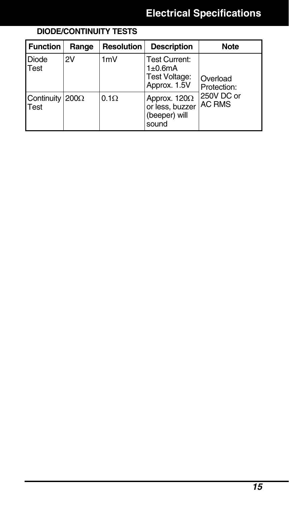#### **DIODE/CONTINUITY TESTS**  Function Range Resolution Description Note Diode Test 2V 1mV Test Current: 1±0.6mA Test Voltage: Approx. 1.5V Continuity 200 $\Omega$ Test 0.1Ω Approx. 120Ω or less, buzzer (beeper) will sound Overload Protection: 250V DC or AC RMS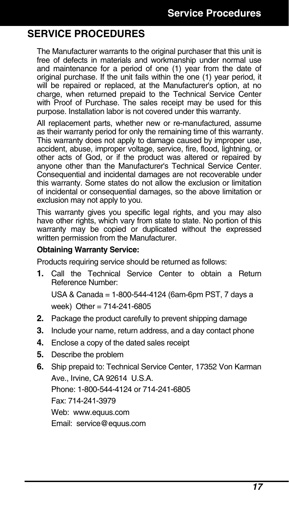# **SERVICE PROCEDURES**

The Manufacturer warrants to the original purchaser that this unit is free of defects in materials and workmanship under normal use and maintenance for a period of one (1) year from the date of original purchase. If the unit fails within the one (1) year period, it will be repaired or replaced, at the Manufacturer's option, at no charge, when returned prepaid to the Technical Service Center with Proof of Purchase. The sales receipt may be used for this purpose. Installation labor is not covered under this warranty.

All replacement parts, whether new or re-manufactured, assume as their warranty period for only the remaining time of this warranty. This warranty does not apply to damage caused by improper use. accident, abuse, improper voltage, service, fire, flood, lightning, or other acts of God, or if the product was altered or repaired by anyone other than the Manufacturer's Technical Service Center. Consequential and incidental damages are not recoverable under this warranty. Some states do not allow the exclusion or limitation of incidental or consequential damages, so the above limitation or exclusion may not apply to you.

This warranty gives you specific legal rights, and you may also have other rights, which vary from state to state. No portion of this warranty may be copied or duplicated without the expressed written permission from the Manufacturer.

#### **Obtaining Warranty Service:**

Products requiring service should be returned as follows:

**1.** Call the Technical Service Center to obtain a Return Reference Number:

USA & Canada = 1-800-544-4124 (6am-6pm PST, 7 days a week) Other = 714-241-6805

- **2.** Package the product carefully to prevent shipping damage
- **3.** Include your name, return address, and a day contact phone
- **4.** Enclose a copy of the dated sales receipt
- **5.** Describe the problem
- **6.** Ship prepaid to: Technical Service Center, 17352 Von Karman Ave., Irvine, CA 92614 U.S.A. Phone: 1-800-544-4124 or 714-241-6805 Fax: 714-241-3979 Web: www.equus.com Email: service@equus.com